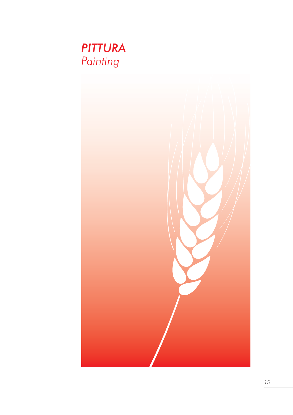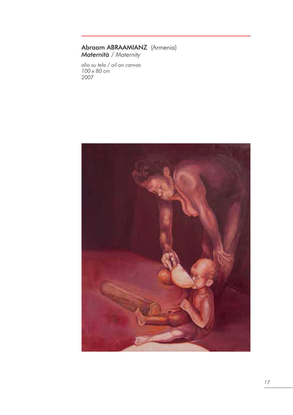#### Abraam ABRAAMIANZ (Armenia) *Maternità / Maternity*

*olio su tela / oil on canvas 100 x 80 cm 2007*

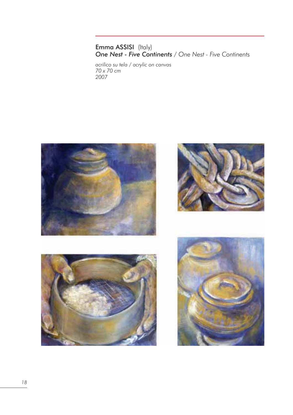## Emma ASSISI (Italy) *One Nest - Five Continents / One Nest - Five Continents*

*acrilico su tela / acrylic on canvas 70 x 70 cm 2007*

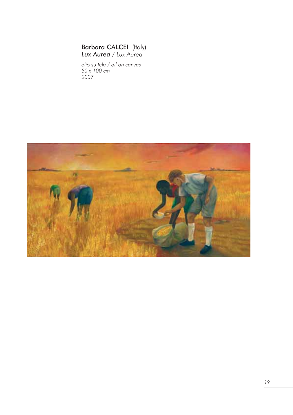## Barbara CALCEI (Italy) *Lux Aurea / Lux Aurea*

*olio su tela / oil on canvas 50 x 100 cm 2007*

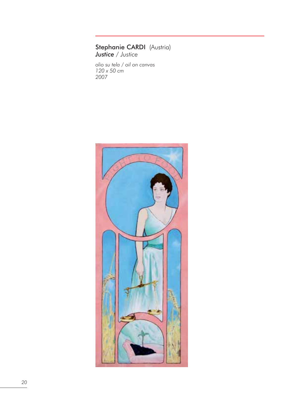#### Stephanie CARDI (Austria) *Justice / Justice*

*olio su tela / oil on canvas 120 x 50 cm 2007*

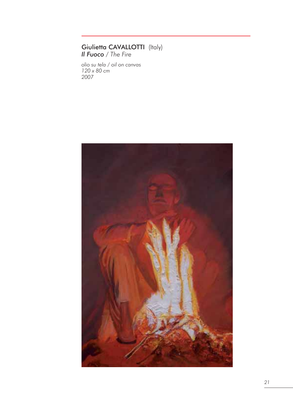## Giulietta CAVALLOTTI (Italy) *Il Fuoco / The Fire*

*olio su tela / oil on canvas 120 x 80 cm 2007*

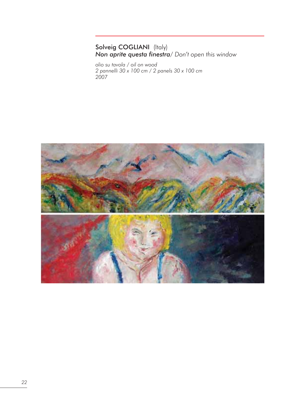# Solveig COGLIANI (Italy) *Non aprite questa finestra/ Don't open this window*

*olio su tavola / oil on wood 2 pannelli 30 x 100 cm / 2 panels 30 x 100 cm 2007*

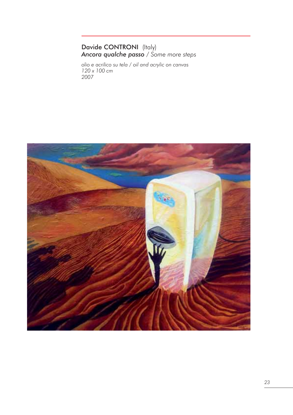## Davide CONTRONI (Italy) *Ancora qualche passo / Some more steps*

*olio e acrilico su tela / oil and acrylic on canvas 120 x 100 cm 2007*

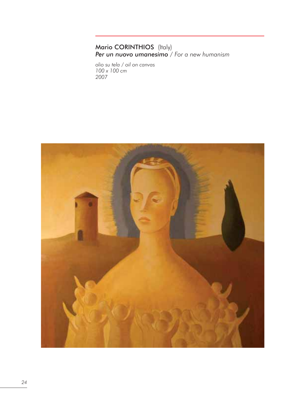## Mario CORINTHIOS (Italy) *Per un nuovo umanesimo / For a new humanism*

*olio su tela / oil on canvas 100 x 100 cm 2007*

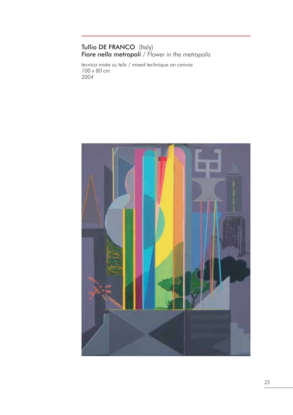# Tullio DE FRANCO (Italy) *Fiore nella metropoli / Flower in the metropolis*

*tecnica mista su tela / mixed technique on canvas 100 x 80 cm 2004*

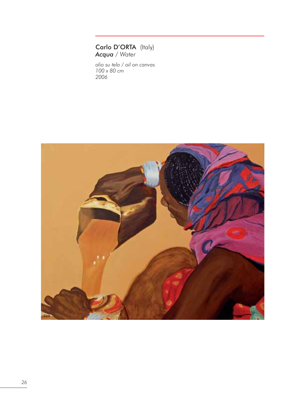Carlo D'ORTA (Italy) *Acqua / Water*

*olio su tela / oil on canvas 100 x 80 cm 2006*

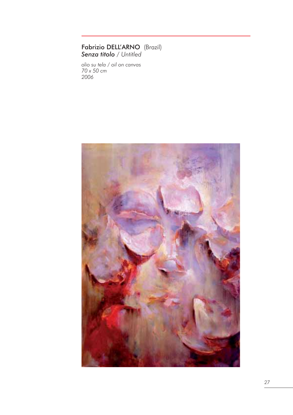#### Fabrizio DELL'ARNO (Brazil) *Senza titolo / Untitled*

*olio su tela / oil on canvas 70 x 50 cm 2006*

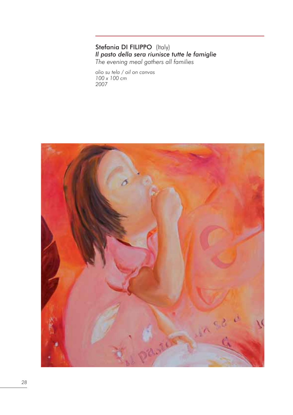## Stefania DI FILIPPO (Italy) *Il pasto della sera riunisce tutte le famiglie The evening meal gathers all families*

*olio su tela / oil on canvas 100 x 100 cm 2007*

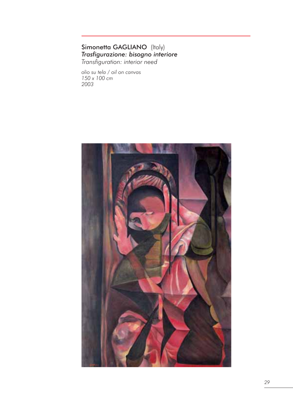### Simonetta GAGLIANO (Italy) *Trasfigurazione: bisogno interiore Transfiguration: interior need*

*olio su tela / oil on canvas 150 x 100 cm 2003*

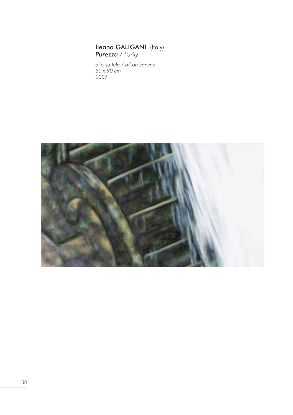#### Ileana GALIGANI (Italy) *Purezza / Purity*

*olio su tela / oil on canvas 50 x 90 cm 2007*

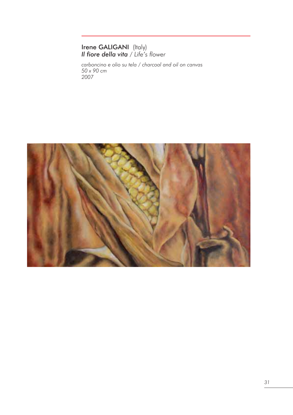## Irene GALIGANI (Italy) *Il fiore della vita / Life's flower*

*carboncino e olio su tela / charcoal and oil on canvas 50 x 90 cm 2007*

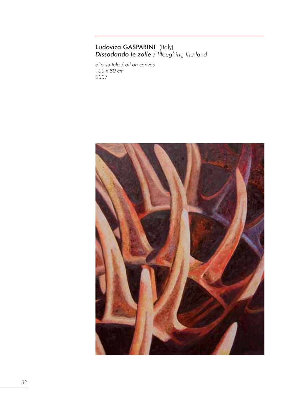#### Ludovica GASPARINI (Italy) *Dissodando le zolle / Ploughing the land*

*olio su tela / oil on canvas 100 x 80 cm 2007*

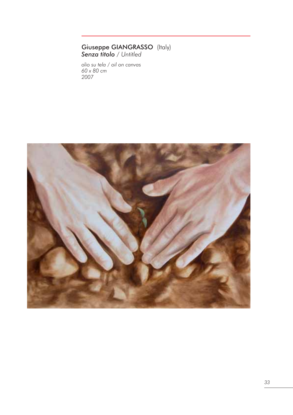## Giuseppe GIANGRASSO (Italy) *Senza titolo / Untitled*

*olio su tela / oil on canvas 60 x 80 cm 2007*

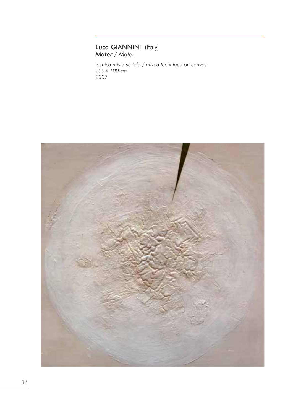# Luca GIANNINI (Italy) *Mater / Mater*

*tecnica mista su tela / mixed technique on canvas 100 x 100 cm 2007*

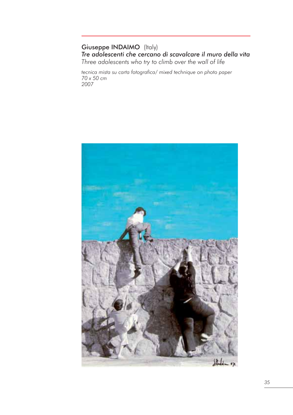## Giuseppe INDAIMO (Italy) *Tre adolescenti che cercano di scavalcare il muro della vita Three adolescents who try to climb over the wall of life*

*tecnica mista su carta fotografica/ mixed technique on photo paper 70 x 50 cm 2007*

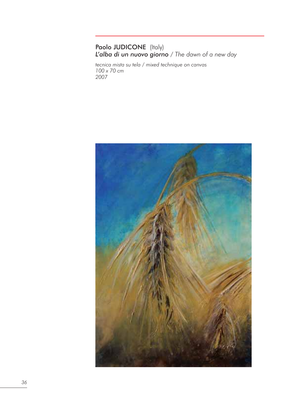### Paolo JUDICONE (Italy) *L'alba di un nuovo giorno / The dawn of a new day*

*tecnica mista su tela / mixed technique on canvas 100 x 70 cm 2007*

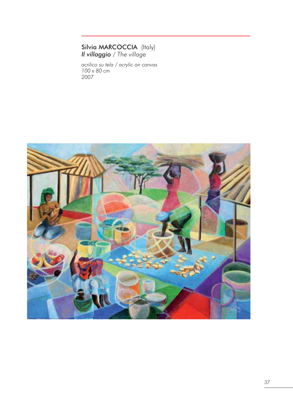#### Silvia MARCOCCIA (Italy) *Il villaggio / The village*

*acrilico su tela / acrylic on canvas 100 x 80 cm 2007*

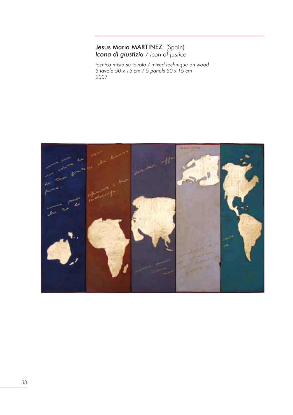#### Jesus Maria MARTINEZ (Spain) *Icona di giustizia / Icon of justice*

*tecnica mista su tavola / mixed technique on wood 5 tavole 50 x 15 cm / 5 panels 50 x 15 cm 2007*

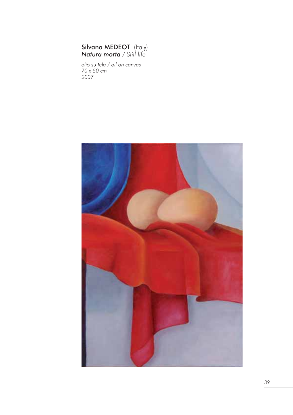#### Silvana MEDEOT (Italy) *Natura morta / Still life*

*olio su tela / oil on canvas 70 x 50 cm 2007*

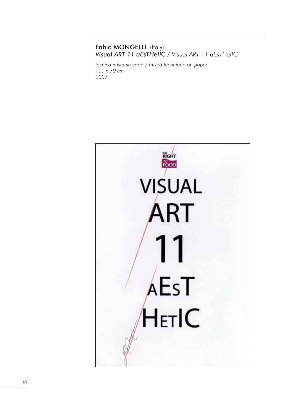## Fabio MONGELLI (Italy) *Visual ART 11 aEsTHetIC / Visual ART 11 aEsTHetIC*

*tecnica mista su carta / mixed technique on paper 100 x 70 cm 2007*

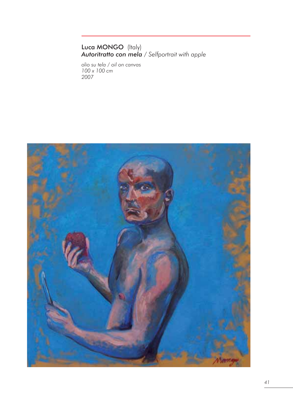#### Luca MONGO (Italy) *Autoritratto con mela / Selfportrait with apple*

*olio su tela / oil on canvas 100 x 100 cm 2007*

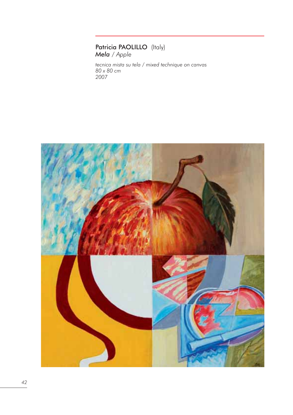## Patricia PAOLILLO (Italy) *Mela / Apple*

*tecnica mista su tela / mixed technique on canvas 80 x 80 cm 2007*

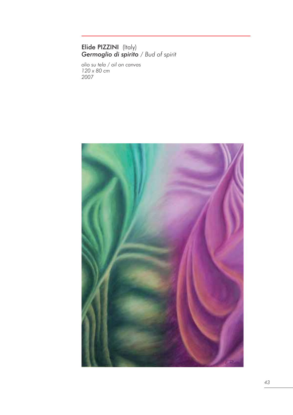## Elide PIZZINI (Italy) *Germoglio di spirito / Bud of spirit*

*olio su tela / oil on canvas 120 x 80 cm 2007*

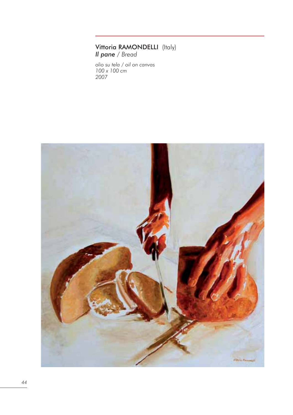#### Vittoria RAMONDELLI (Italy) *Il pane / Bread*

*olio su tela / oil on canvas 100 x 100 cm 2007*

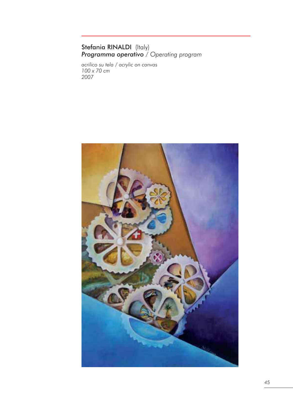#### Stefania RINALDI (Italy) *Programma operativo / Operating program*

*acrilico su tela / acrylic on canvas 100 x 70 cm 2007*

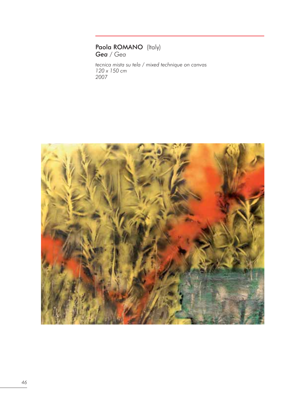### Paola ROMANO (Italy) *Gea / Gea*

*tecnica mista su tela / mixed technique on canvas 120 x 150 cm 2007*

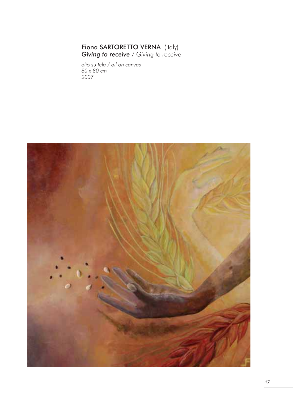## Fiona SARTORETTO VERNA (Italy) *Giving to receive / Giving to receive*

*olio su tela / oil on canvas 80 x 80 cm 2007*

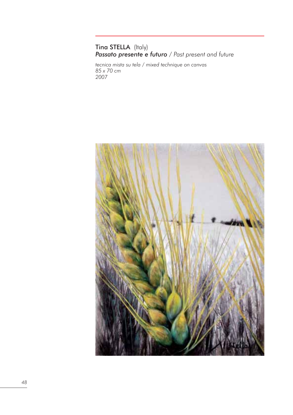# Tina STELLA (Italy) *Passato presente e futuro / Past present and future*

*tecnica mista su tela / mixed technique on canvas 85 x 70 cm 2007*

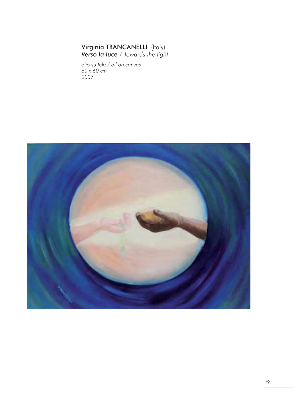## Virginia TRANCANELLI (Italy) *Verso la luce / Towards the light*

*olio su tela / oil on canvas 80 x 60 cm 2007*

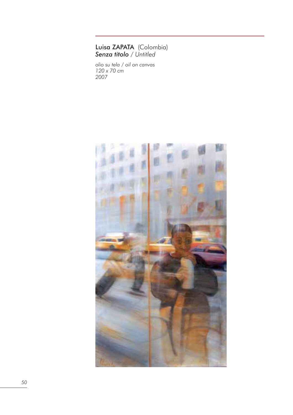#### Luisa ZAPATA (Colombia) *Senza titolo / Untitled*

*olio su tela / oil on canvas 120 x 70 cm 2007*

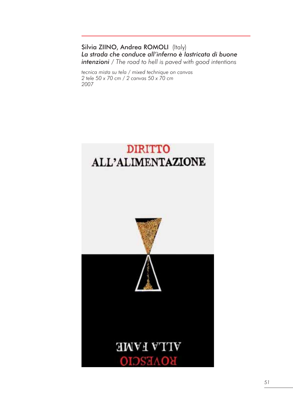Silvia ZIINO, Andrea ROMOLI (Italy) *La strada che conduce all'inferno è lastricata di buone intenzioni / The road to hell is paved with good intentions* 

*tecnica mista su tela / mixed technique on canvas 2 tele 50 x 70 cm / 2 canvas 50 x 70 cm 2007*

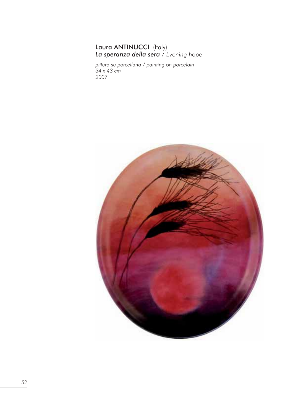## Laura ANTINUCCI (Italy) *La speranza della sera / Evening hope*

*pittura su porcellana / painting on porcelain 34 x 43 cm 2007*

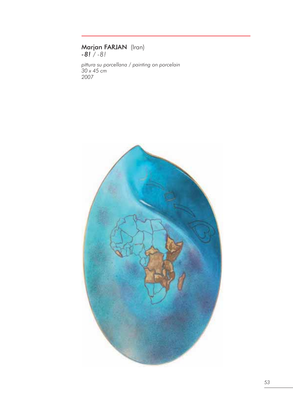## Marjan FARJAN (Iran) *-8! / -8!*

*pittura su porcellana / painting on porcelain 30 x 45 cm 2007*

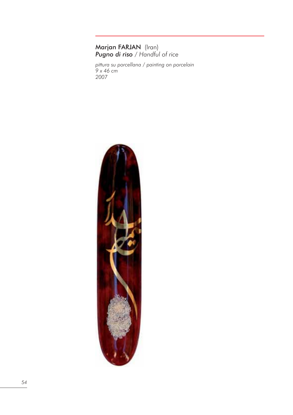## Marjan FARJAN (Iran) *Pugno di riso / Handful of rice*

*pittura su porcellana / painting on porcelain 9 x 46 cm 2007*

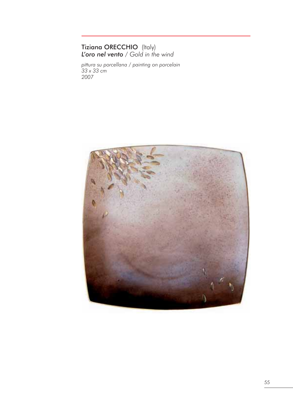## Tiziana ORECCHIO (Italy) *L'oro nel vento / Gold in the wind*

*pittura su porcellana / painting on porcelain 33 x 33 cm 2007*

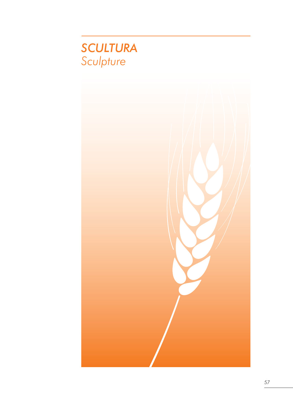

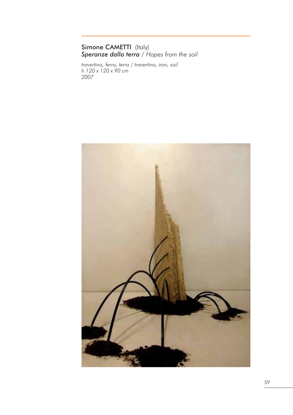## Simone CAMETTI (Italy) *Speranze dalla terra / Hopes from the soil*

*travertino, ferro, terra / travertino, iron, soil h 120 x 120 x 90 cm 2007*

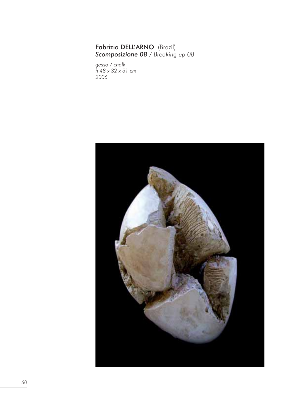#### Fabrizio DELL'ARNO (Brazil) *Scomposizione 08 / Breaking up 08*

*gesso / chalk h 48 x 32 x 31 cm 2006*

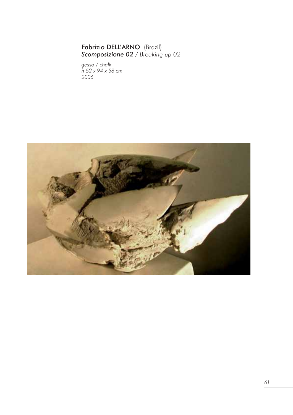## Fabrizio DELL'ARNO (Brazil) *Scomposizione 02 / Breaking up 02*

*gesso / chalk h 52 x 94 x 58 cm 2006*

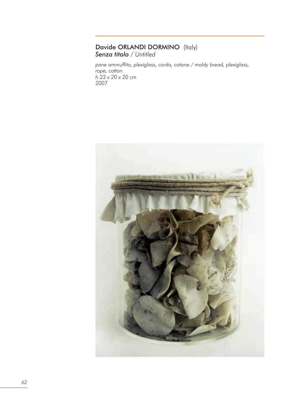# Davide ORLANDI DORMINO (Italy) *Senza titolo / Untitled*

*pane ammuffito, plexiglass, corda, cotone / moldy bread, plexiglass, rope, cotton h 23 x 20 x 20 cm 2007*

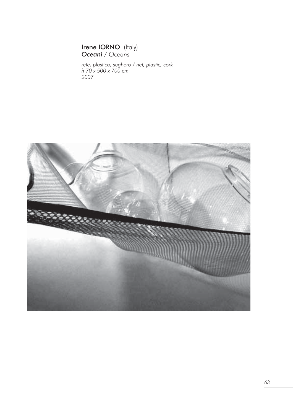## Irene IORNO (Italy) *Oceani / Oceans*

*rete, plastica, sughero / net, plastic, cork h 70 x 500 x 700 cm 2007*

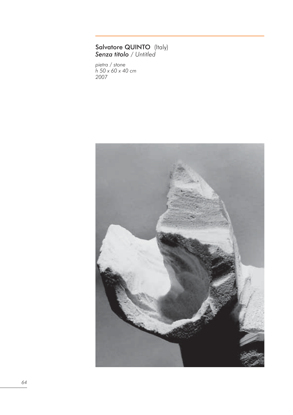#### Salvatore QUINTO (Italy) *Senza titolo / Untitled*

*pietra / stone h 50 x 60 x 40 cm 2007*

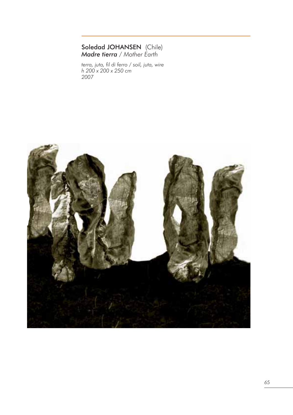## Soledad JOHANSEN (Chile) *Madre tierra / Mother Earth*

*terra, juta, fil di ferro / soil, juta, wire h 200 x 200 x 250 cm 2007*

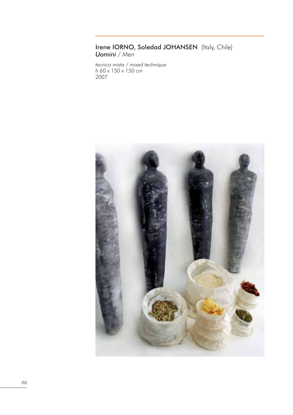#### Irene IORNO, Soledad JOHANSEN (Italy, Chile) *Uomini / Men*

*tecnica mista / mixed technique h 60 x 150 x 150 cm 2007*

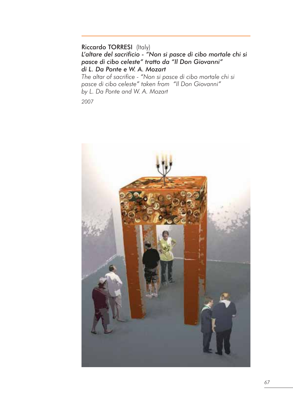Riccardo TORRESI (Italy) *L'altare del sacrificio - "Non si pasce di cibo mortale chi si pasce di cibo celeste" tratto da "Il Don Giovanni" di L. Da Ponte e W. A. Mozart*

*The altar of sacrifice - "Non si pasce di cibo mortale chi si pasce di cibo celeste" taken from "Il Don Giovanni" by L. Da Ponte and W. A. Mozart*

*2007*

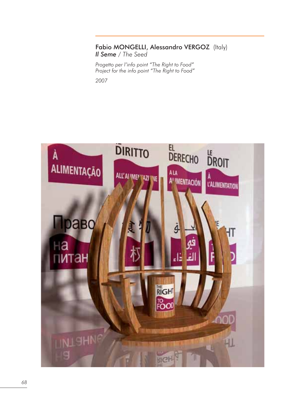## Fabio MONGELLI, Alessandro VERGOZ (Italy) *Il Seme / The Seed*

*Progetto per l'info point "The Right to Food" Project for the info point "The Right to Food" 2007*